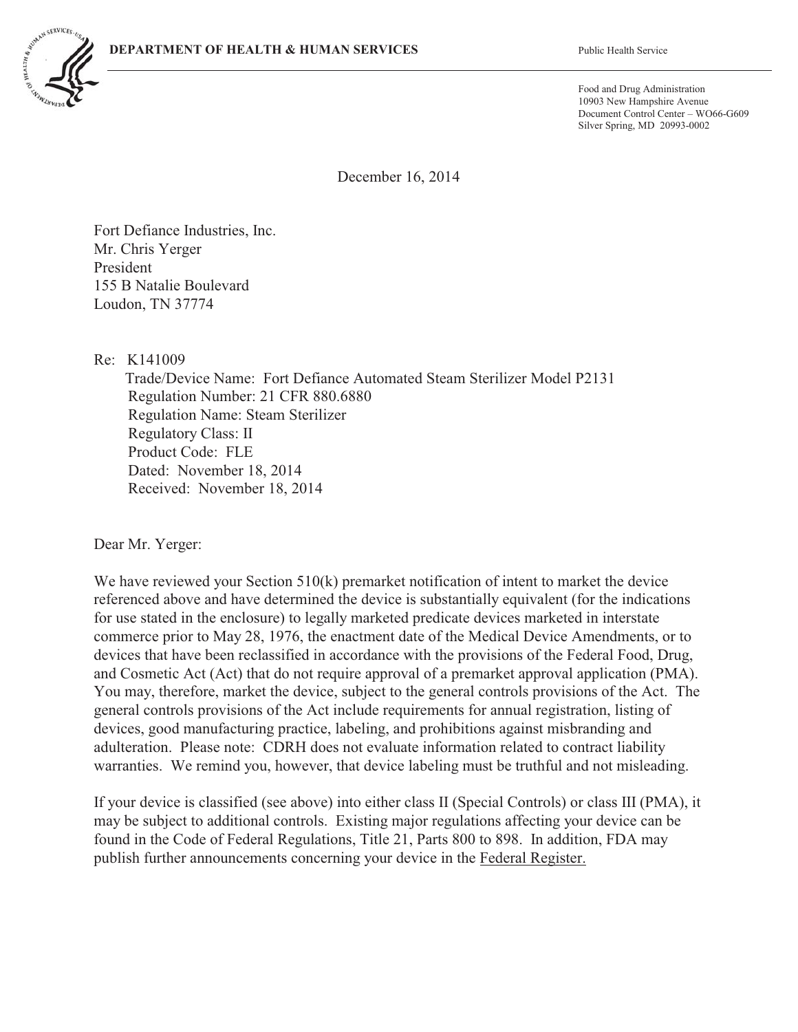

Food and Drug Administration 10903 New Hampshire Avenue Document Control Center – WO66-G609 Silver Spring, MD 20993-0002

December 16, 2014

Fort Defiance Industries, Inc. Mr. Chris Yerger President 155 B Natalie Boulevard Loudon, TN 37774

Re: K141009

Trade/Device Name: Fort Defiance Automated Steam Sterilizer Model P2131 Regulation Number: 21 CFR 880.6880 Regulation Name: Steam Sterilizer Regulatory Class: II Product Code: FLE Dated: November 18, 2014 Received: November 18, 2014

Dear Mr. Yerger:

We have reviewed your Section 510(k) premarket notification of intent to market the device referenced above and have determined the device is substantially equivalent (for the indications for use stated in the enclosure) to legally marketed predicate devices marketed in interstate commerce prior to May 28, 1976, the enactment date of the Medical Device Amendments, or to devices that have been reclassified in accordance with the provisions of the Federal Food, Drug, and Cosmetic Act (Act) that do not require approval of a premarket approval application (PMA). You may, therefore, market the device, subject to the general controls provisions of the Act. The general controls provisions of the Act include requirements for annual registration, listing of devices, good manufacturing practice, labeling, and prohibitions against misbranding and adulteration. Please note: CDRH does not evaluate information related to contract liability warranties. We remind you, however, that device labeling must be truthful and not misleading.

If your device is classified (see above) into either class II (Special Controls) or class III (PMA), it may be subject to additional controls. Existing major regulations affecting your device can be found in the Code of Federal Regulations, Title 21, Parts 800 to 898. In addition, FDA may publish further announcements concerning your device in the Federal Register.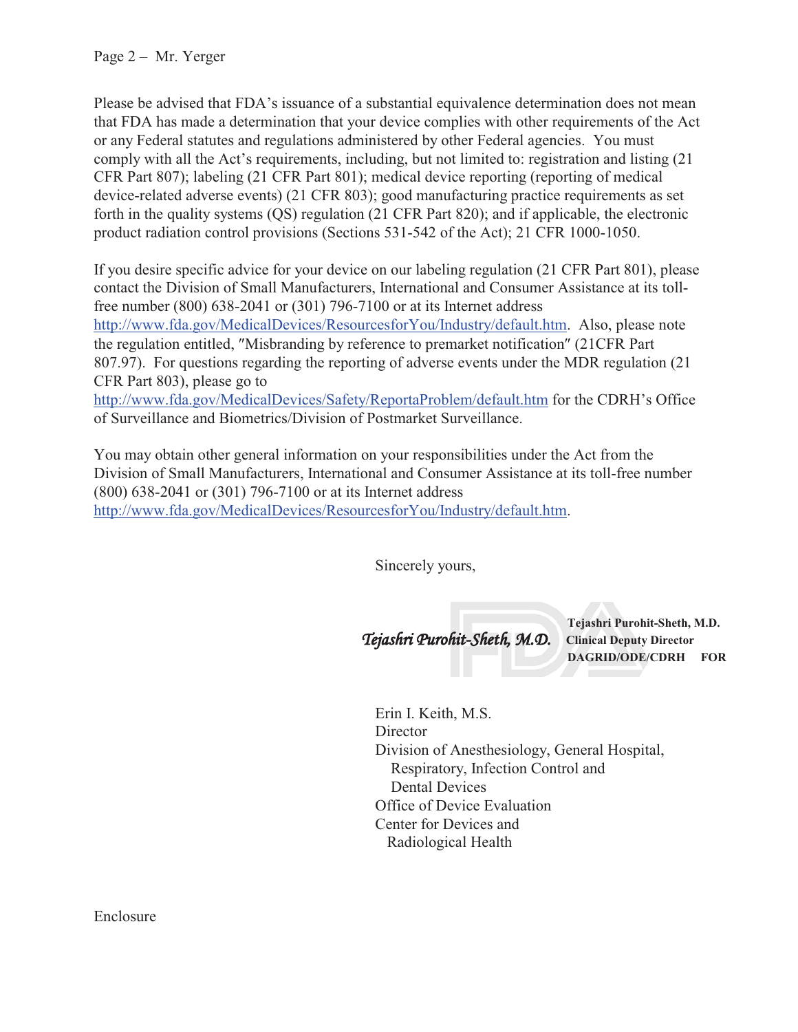Page 2 – Mr. Yerger

Please be advised that FDA's issuance of a substantial equivalence determination does not mean that FDA has made a determination that your device complies with other requirements of the Act or any Federal statutes and regulations administered by other Federal agencies. You must comply with all the Act's requirements, including, but not limited to: registration and listing (21 CFR Part 807); labeling (21 CFR Part 801); medical device reporting (reporting of medical device-related adverse events) (21 CFR 803); good manufacturing practice requirements as set forth in the quality systems (QS) regulation (21 CFR Part 820); and if applicable, the electronic product radiation control provisions (Sections 531-542 of the Act); 21 CFR 1000-1050.

If you desire specific advice for your device on our labeling regulation (21 CFR Part 801), please contact the Division of Small Manufacturers, International and Consumer Assistance at its tollfree number (800) 638-2041 or (301) 796-7100 or at its Internet address http://www.fda.gov/MedicalDevices/ResourcesforYou/Industry/default.htm. Also, please note the regulation entitled, "Misbranding by reference to premarket notification" (21CFR Part 807.97). For questions regarding the reporting of adverse events under the MDR regulation (21 CFR Part 803), please go to http://www.fda.gov/MedicalDevices/Safety/ReportaProblem/default.htm for the CDRH's Office of Surveillance and Biometrics/Division of Postmarket Surveillance.

You may obtain other general information on your responsibilities under the Act from the Division of Small Manufacturers, International and Consumer Assistance at its toll-free number (800) 638-2041 or (301) 796-7100 or at its Internet address http://www.fda.gov/MedicalDevices/ResourcesforYou/Industry/default.htm.

Sincerely yours,

Tejashri Purohit-Sheth, M.D. **Clinical Deputy Director**

**Tejashri Purohit-Sheth, M.D. DAGRID/ODE/CDRH FOR**

Erin I. Keith, M.S. **Director** Division of Anesthesiology, General Hospital, Respiratory, Infection Control and Dental Devices Office of Device Evaluation Center for Devices and Radiological Health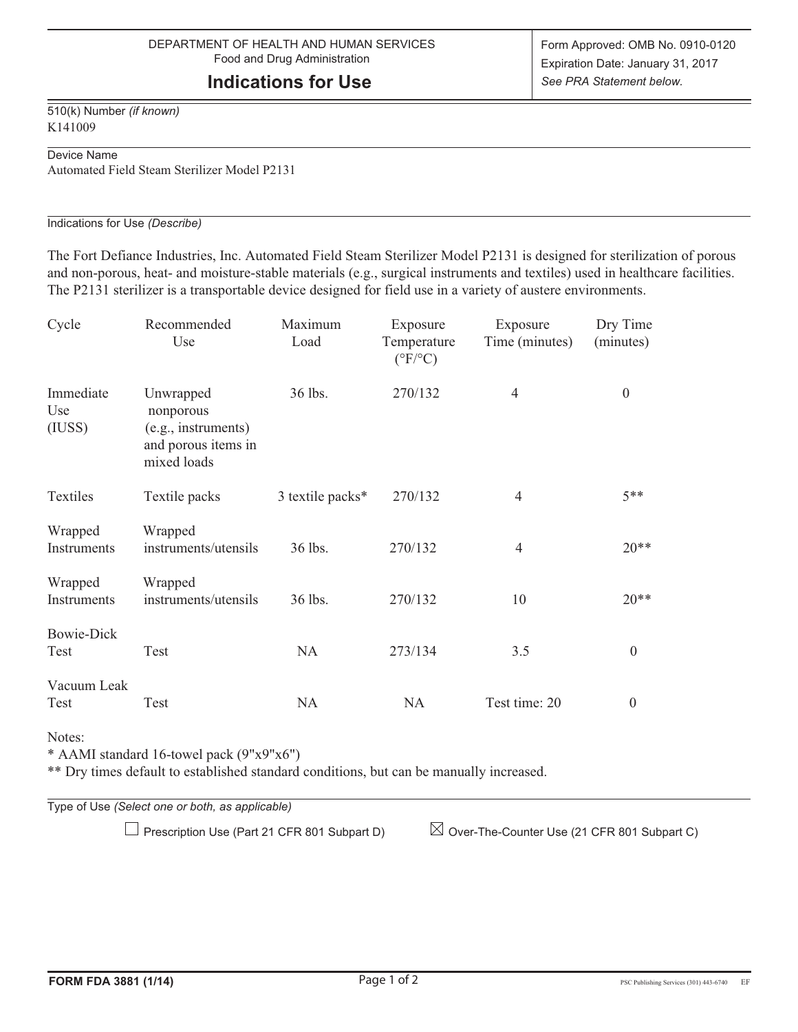# **Indications for Use**

510(k) Number *(if known)* K141009

#### Device Name

Automated Field Steam Sterilizer Model P2131

#### Indications for Use *(Describe)*

The Fort Defiance Industries, Inc. Automated Field Steam Sterilizer Model P2131 is designed for sterilization of porous and non-porous, heat- and moisture-stable materials (e.g., surgical instruments and textiles) used in healthcare facilities. The P2131 sterilizer is a transportable device designed for field use in a variety of austere environments.

| Cycle                      | Recommended<br>Use                                                                  | Maximum<br>Load  | Exposure<br>Temperature<br>$(^{\circ}F/^{\circ}C)$ | Exposure<br>Time (minutes) | Dry Time<br>(minutes) |
|----------------------------|-------------------------------------------------------------------------------------|------------------|----------------------------------------------------|----------------------------|-----------------------|
| Immediate<br>Use<br>(IUSS) | Unwrapped<br>nonporous<br>(e.g., instruments)<br>and porous items in<br>mixed loads | 36 lbs.          | 270/132                                            | $\overline{4}$             | $\boldsymbol{0}$      |
| Textiles                   | Textile packs                                                                       | 3 textile packs* | 270/132                                            | 4                          | $5**$                 |
| Wrapped<br>Instruments     | Wrapped<br>instruments/utensils                                                     | 36 lbs.          | 270/132                                            | 4                          | $20**$                |
| Wrapped<br>Instruments     | Wrapped<br>instruments/utensils                                                     | 36 lbs.          | 270/132                                            | 10                         | $20**$                |
| <b>Bowie-Dick</b><br>Test  | Test                                                                                | <b>NA</b>        | 273/134                                            | 3.5                        | $\boldsymbol{0}$      |
| Vacuum Leak<br>Test        | Test                                                                                | <b>NA</b>        | <b>NA</b>                                          | Test time: 20              | $\boldsymbol{0}$      |

Notes:

\* AAMI standard 16-towel pack (9"x9"x6")

\*\* Dry times default to established standard conditions, but can be manually increased.

Type of Use *(Select one or both, as applicable)*

 $\Box$  Prescription Use (Part 21 CFR 801 Subpart D)  $\Box$  Over-The-Counter Use (21 CFR 801 Subpart C)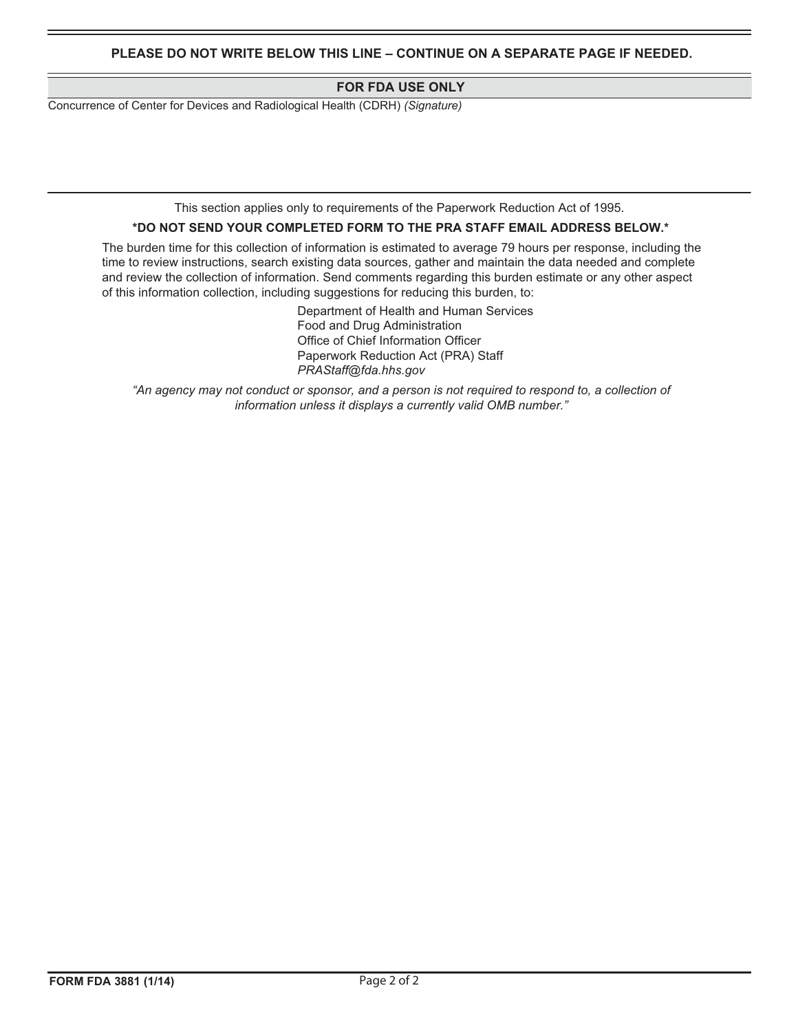**PLEASE DO NOT WRITE BELOW THIS LINE – CONTINUE ON A SEPARATE PAGE IF NEEDED.** 

#### **FOR FDA USE ONLY**

Concurrence of Center for Devices and Radiological Health (CDRH) *(Signature)*

This section applies only to requirements of the Paperwork Reduction Act of 1995.

#### **\*DO NOT SEND YOUR COMPLETED FORM TO THE PRA STAFF EMAIL ADDRESS BELOW.\***

The burden time for this collection of information is estimated to average 79 hours per response, including the time to review instructions, search existing data sources, gather and maintain the data needed and complete and review the collection of information. Send comments regarding this burden estimate or any other aspect of this information collection, including suggestions for reducing this burden, to:

> Department of Health and Human Services Food and Drug Administration Office of Chief Information Officer Paperwork Reduction Act (PRA) Staff *PRAStaff@fda.hhs.gov*

"An agency may not conduct or sponsor, and a person is not required to respond to, a collection of *information unless it displays a currently valid OMB number."*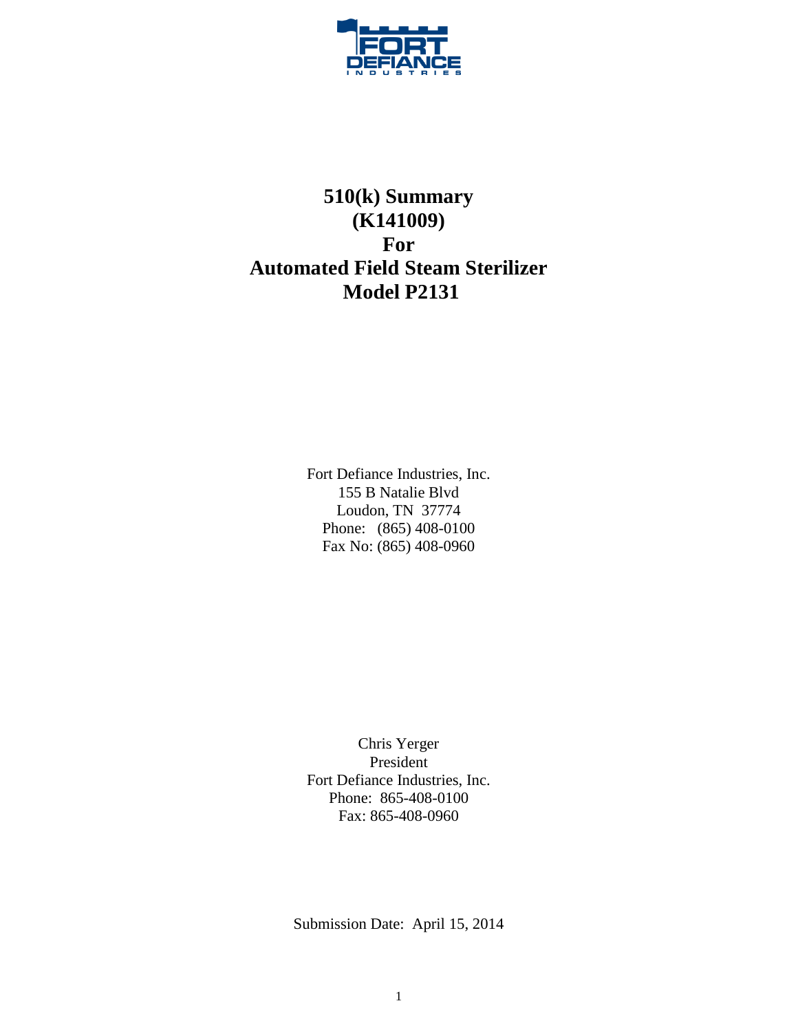

# **510(k) Summary (K141009) For Automated Field Steam Sterilizer Model P2131**

Fort Defiance Industries, Inc. 155 B Natalie Blvd Loudon, TN 37774 Phone: (865) 408-0100 Fax No: (865) 408-0960

Chris Yerger President Fort Defiance Industries, Inc. Phone: 865-408-0100 Fax: 865-408-0960

Submission Date: April 15, 2014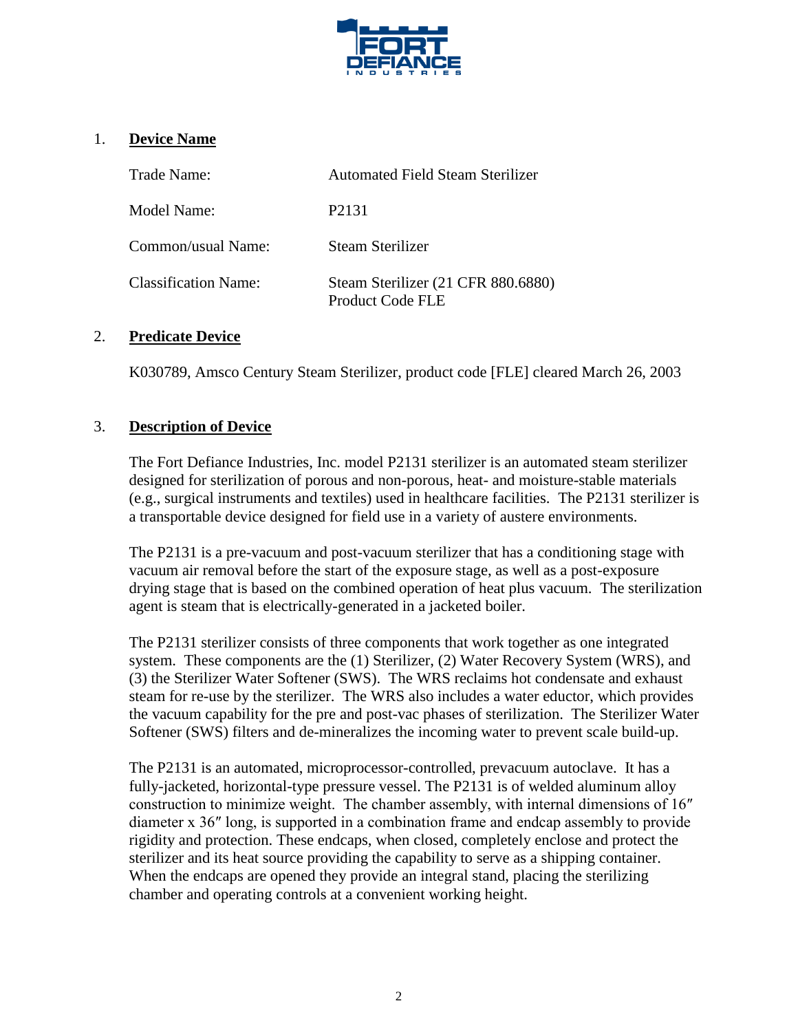

# 1. **Device Name**

| Trade Name:                 | Automated Field Steam Sterilizer                       |
|-----------------------------|--------------------------------------------------------|
| Model Name:                 | P <sub>2</sub> 131                                     |
| Common/usual Name:          | Steam Sterilizer                                       |
| <b>Classification Name:</b> | Steam Sterilizer (21 CFR 880.6880)<br>Product Code FLE |

### 2. **Predicate Device**

K030789, Amsco Century Steam Sterilizer, product code [FLE] cleared March 26, 2003

## 3. **Description of Device**

The Fort Defiance Industries, Inc. model P2131 sterilizer is an automated steam sterilizer designed for sterilization of porous and non-porous, heat- and moisture-stable materials (e.g., surgical instruments and textiles) used in healthcare facilities. The P2131 sterilizer is a transportable device designed for field use in a variety of austere environments.

The P2131 is a pre-vacuum and post-vacuum sterilizer that has a conditioning stage with vacuum air removal before the start of the exposure stage, as well as a post-exposure drying stage that is based on the combined operation of heat plus vacuum. The sterilization agent is steam that is electrically-generated in a jacketed boiler.

The P2131 sterilizer consists of three components that work together as one integrated system. These components are the (1) Sterilizer, (2) Water Recovery System (WRS), and (3) the Sterilizer Water Softener (SWS). The WRS reclaims hot condensate and exhaust steam for re-use by the sterilizer. The WRS also includes a water eductor, which provides the vacuum capability for the pre and post-vac phases of sterilization. The Sterilizer Water Softener (SWS) filters and de-mineralizes the incoming water to prevent scale build-up.

The P2131 is an automated, microprocessor-controlled, prevacuum autoclave. It has a fully-jacketed, horizontal-type pressure vessel. The P2131 is of welded aluminum alloy construction to minimize weight. The chamber assembly, with internal dimensions of 16″ diameter x 36″ long, is supported in a combination frame and endcap assembly to provide rigidity and protection. These endcaps, when closed, completely enclose and protect the sterilizer and its heat source providing the capability to serve as a shipping container. When the endcaps are opened they provide an integral stand, placing the sterilizing chamber and operating controls at a convenient working height.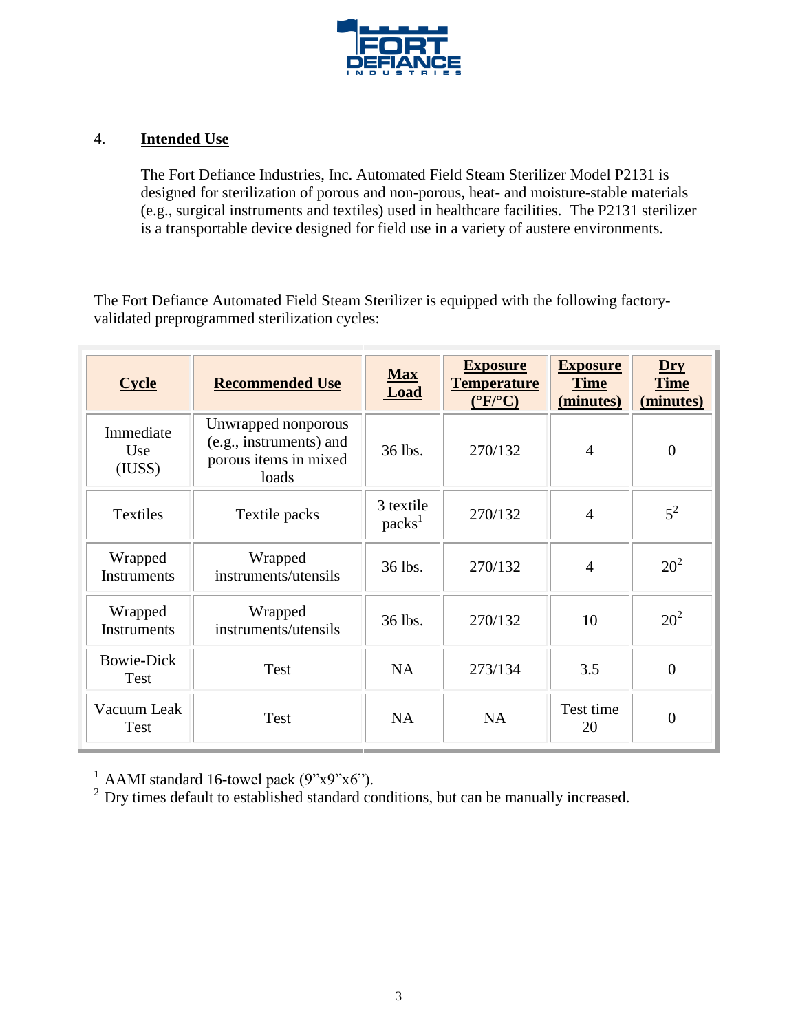

## 4. **Intended Use**

The Fort Defiance Industries, Inc. Automated Field Steam Sterilizer Model P2131 is designed for sterilization of porous and non-porous, heat- and moisture-stable materials (e.g., surgical instruments and textiles) used in healthcare facilities. The P2131 sterilizer is a transportable device designed for field use in a variety of austere environments.

The Fort Defiance Automated Field Steam Sterilizer is equipped with the following factoryvalidated preprogrammed sterilization cycles:

| <b>Cycle</b>                  | <b>Recommended Use</b>                                                           | <b>Max</b><br><b>Load</b>       | <b>Exposure</b><br><b>Temperature</b><br>$(^{\circ}F/^{\circ}C)$ | <b>Exposure</b><br><b>Time</b><br>(minutes) | $Dry$<br><b>Time</b><br>(minutes) |
|-------------------------------|----------------------------------------------------------------------------------|---------------------------------|------------------------------------------------------------------|---------------------------------------------|-----------------------------------|
| Immediate<br>Use<br>(IUSS)    | Unwrapped nonporous<br>(e.g., instruments) and<br>porous items in mixed<br>loads | 36 lbs.                         | 270/132                                                          | $\overline{4}$                              | $\overline{0}$                    |
| <b>Textiles</b>               | Textile packs                                                                    | 3 textile<br>packs <sup>1</sup> | 270/132                                                          | $\overline{4}$                              | $5^2$                             |
| Wrapped<br><b>Instruments</b> | Wrapped<br>instruments/utensils                                                  | 36 lbs.                         | 270/132                                                          | 4                                           | 20 <sup>2</sup>                   |
| Wrapped<br><b>Instruments</b> | Wrapped<br>instruments/utensils                                                  | 36 lbs.                         | 270/132                                                          | 10                                          | $20^2$                            |
| <b>Bowie-Dick</b><br>Test     | Test                                                                             | <b>NA</b>                       | 273/134                                                          | 3.5                                         | $\overline{0}$                    |
| Vacuum Leak<br>Test           | Test                                                                             | <b>NA</b>                       | <b>NA</b>                                                        | Test time<br>20                             | $\overline{0}$                    |

 $1$  AAMI standard 16-towel pack (9"x9"x6").

<sup>2</sup> Dry times default to established standard conditions, but can be manually increased.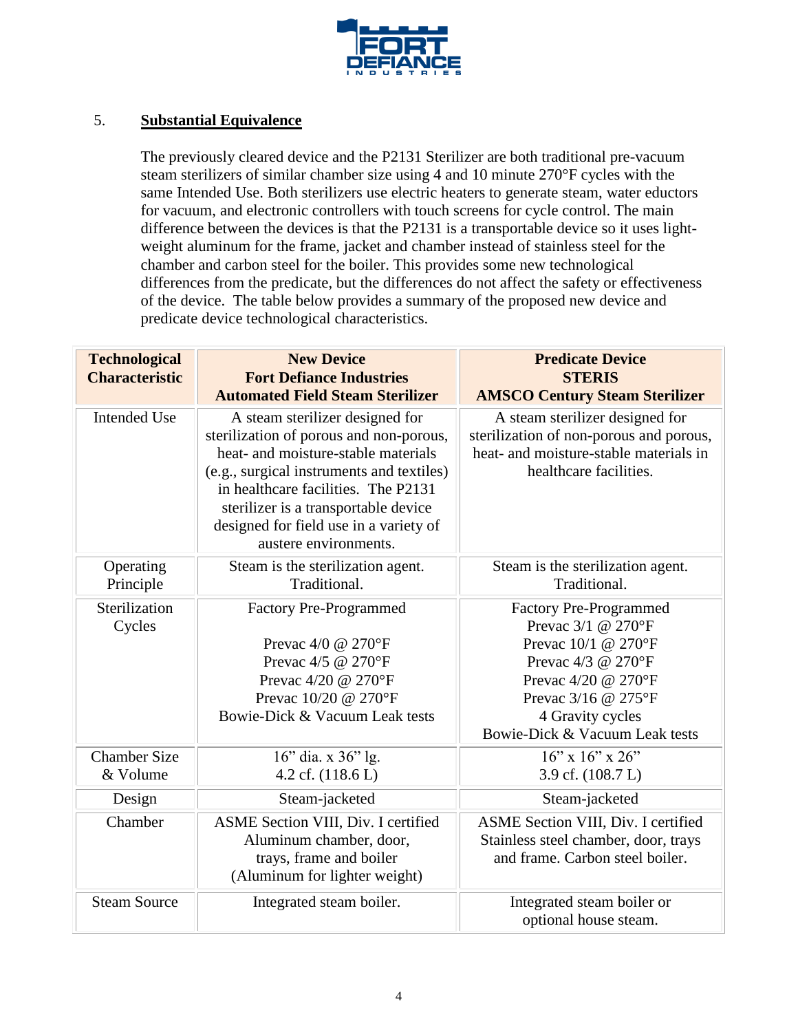

# 5. **Substantial Equivalence**

The previously cleared device and the P2131 Sterilizer are both traditional pre-vacuum steam sterilizers of similar chamber size using 4 and 10 minute 270°F cycles with the same Intended Use. Both sterilizers use electric heaters to generate steam, water eductors for vacuum, and electronic controllers with touch screens for cycle control. The main difference between the devices is that the P2131 is a transportable device so it uses lightweight aluminum for the frame, jacket and chamber instead of stainless steel for the chamber and carbon steel for the boiler. This provides some new technological differences from the predicate, but the differences do not affect the safety or effectiveness of the device. The table below provides a summary of the proposed new device and predicate device technological characteristics.

| <b>Technological</b><br><b>Characteristic</b> | <b>New Device</b><br><b>Fort Defiance Industries</b><br><b>Automated Field Steam Sterilizer</b> | <b>Predicate Device</b><br><b>STERIS</b><br><b>AMSCO Century Steam Sterilizer</b> |
|-----------------------------------------------|-------------------------------------------------------------------------------------------------|-----------------------------------------------------------------------------------|
|                                               |                                                                                                 |                                                                                   |
| <b>Intended Use</b>                           | A steam sterilizer designed for                                                                 | A steam sterilizer designed for                                                   |
|                                               | sterilization of porous and non-porous,                                                         | sterilization of non-porous and porous,                                           |
|                                               | heat- and moisture-stable materials                                                             | heat- and moisture-stable materials in                                            |
|                                               | (e.g., surgical instruments and textiles)                                                       | healthcare facilities.                                                            |
|                                               | in healthcare facilities. The P2131                                                             |                                                                                   |
|                                               | sterilizer is a transportable device                                                            |                                                                                   |
|                                               | designed for field use in a variety of                                                          |                                                                                   |
|                                               | austere environments.                                                                           |                                                                                   |
| Operating                                     | Steam is the sterilization agent.                                                               | Steam is the sterilization agent.                                                 |
| Principle                                     | Traditional.                                                                                    | Traditional.                                                                      |
| Sterilization                                 | <b>Factory Pre-Programmed</b>                                                                   | <b>Factory Pre-Programmed</b>                                                     |
| Cycles                                        |                                                                                                 | Prevac $3/1$ @ $270^{\circ}$ F                                                    |
|                                               | Prevac 4/0 @ 270°F                                                                              | Prevac 10/1 @ 270°F                                                               |
|                                               | Prevac 4/5 @ 270°F                                                                              | Prevac 4/3 @ 270°F                                                                |
|                                               | Prevac 4/20 @ 270°F                                                                             | Prevac 4/20 @ 270°F                                                               |
|                                               | Prevac 10/20 @ 270°F                                                                            | Prevac 3/16 @ 275°F                                                               |
|                                               | Bowie-Dick & Vacuum Leak tests                                                                  | 4 Gravity cycles                                                                  |
|                                               |                                                                                                 | Bowie-Dick & Vacuum Leak tests                                                    |
| <b>Chamber Size</b>                           | 16" dia. x 36" lg.                                                                              | $16"$ x $16"$ x $26"$                                                             |
| & Volume                                      | 4.2 cf. (118.6 L)                                                                               | 3.9 cf. (108.7 L)                                                                 |
| Design                                        | Steam-jacketed                                                                                  | Steam-jacketed                                                                    |
| Chamber                                       | ASME Section VIII, Div. I certified                                                             | ASME Section VIII, Div. I certified                                               |
|                                               | Aluminum chamber, door,                                                                         | Stainless steel chamber, door, trays                                              |
|                                               | trays, frame and boiler                                                                         | and frame. Carbon steel boiler.                                                   |
|                                               | (Aluminum for lighter weight)                                                                   |                                                                                   |
| <b>Steam Source</b>                           | Integrated steam boiler.                                                                        | Integrated steam boiler or                                                        |
|                                               |                                                                                                 | optional house steam.                                                             |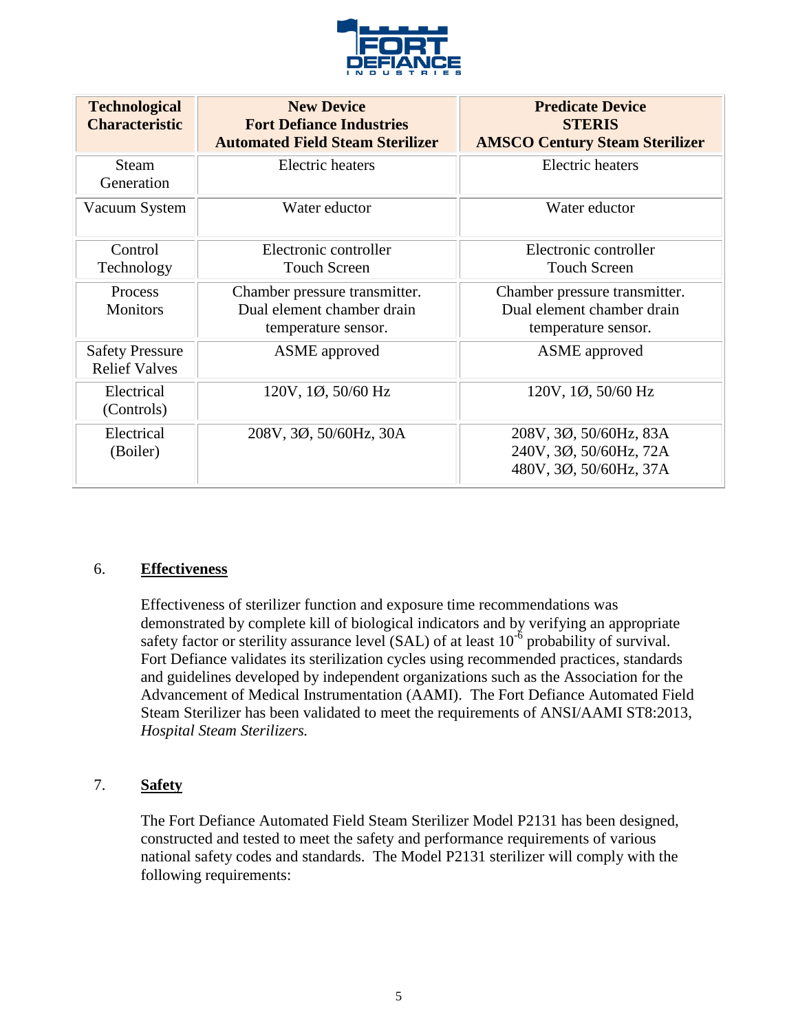

| <b>Technological</b><br><b>Characteristic</b>  | <b>New Device</b><br><b>Fort Defiance Industries</b><br><b>Automated Field Steam Sterilizer</b> | <b>Predicate Device</b><br><b>STERIS</b><br><b>AMSCO Century Steam Sterilizer</b> |
|------------------------------------------------|-------------------------------------------------------------------------------------------------|-----------------------------------------------------------------------------------|
| <b>Steam</b><br>Generation                     | <b>Electric</b> heaters                                                                         | Electric heaters                                                                  |
| Vacuum System                                  | Water eductor                                                                                   | Water eductor                                                                     |
| Control                                        | Electronic controller                                                                           | Electronic controller                                                             |
| Technology                                     | <b>Touch Screen</b>                                                                             | <b>Touch Screen</b>                                                               |
| Process                                        | Chamber pressure transmitter.                                                                   | Chamber pressure transmitter.                                                     |
| <b>Monitors</b>                                | Dual element chamber drain                                                                      | Dual element chamber drain                                                        |
|                                                | temperature sensor.                                                                             | temperature sensor.                                                               |
| <b>Safety Pressure</b><br><b>Relief Valves</b> | <b>ASME</b> approved                                                                            | <b>ASME</b> approved                                                              |
| Electrical<br>(Controls)                       | 120V, 1Ø, 50/60 Hz                                                                              | $120V$ , $1\phi$ , $50/60$ Hz                                                     |
| Electrical                                     | 208V, 3Ø, 50/60Hz, 30A                                                                          | 208V, 3Ø, 50/60Hz, 83A                                                            |
| (Boiler)                                       |                                                                                                 | 240V, 3Ø, 50/60Hz, 72A                                                            |
|                                                |                                                                                                 | 480V, 3Ø, 50/60Hz, 37A                                                            |

### 6. **Effectiveness**

Effectiveness of sterilizer function and exposure time recommendations was demonstrated by complete kill of biological indicators and by verifying an appropriate safety factor or sterility assurance level (SAL) of at least  $10^{-6}$  probability of survival. Fort Defiance validates its sterilization cycles using recommended practices, standards and guidelines developed by independent organizations such as the Association for the Advancement of Medical Instrumentation (AAMI). The Fort Defiance Automated Field Steam Sterilizer has been validated to meet the requirements of ANSI/AAMI ST8:2013, *Hospital Steam Sterilizers.*

### 7. **Safety**

The Fort Defiance Automated Field Steam Sterilizer Model P2131 has been designed, constructed and tested to meet the safety and performance requirements of various national safety codes and standards. The Model P2131 sterilizer will comply with the following requirements: